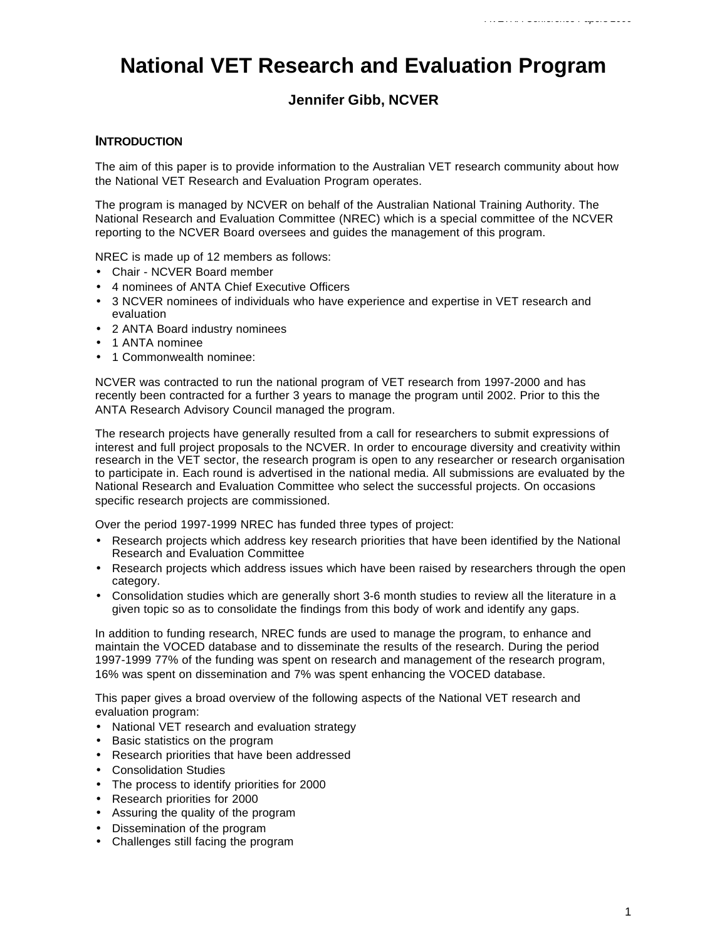# **National VET Research and Evaluation Program**

# **Jennifer Gibb, NCVER**

# **INTRODUCTION**

The aim of this paper is to provide information to the Australian VET research community about how the National VET Research and Evaluation Program operates.

The program is managed by NCVER on behalf of the Australian National Training Authority. The National Research and Evaluation Committee (NREC) which is a special committee of the NCVER reporting to the NCVER Board oversees and guides the management of this program.

NREC is made up of 12 members as follows:

- Chair NCVER Board member
- 4 nominees of ANTA Chief Executive Officers
- 3 NCVER nominees of individuals who have experience and expertise in VET research and evaluation
- 2 ANTA Board industry nominees
- 1 ANTA nominee
- 1 Commonwealth nominee:

NCVER was contracted to run the national program of VET research from 1997-2000 and has recently been contracted for a further 3 years to manage the program until 2002. Prior to this the ANTA Research Advisory Council managed the program.

The research projects have generally resulted from a call for researchers to submit expressions of interest and full project proposals to the NCVER. In order to encourage diversity and creativity within research in the VET sector, the research program is open to any researcher or research organisation to participate in. Each round is advertised in the national media. All submissions are evaluated by the National Research and Evaluation Committee who select the successful projects. On occasions specific research projects are commissioned.

Over the period 1997-1999 NREC has funded three types of project:

- Research projects which address key research priorities that have been identified by the National Research and Evaluation Committee
- Research projects which address issues which have been raised by researchers through the open category.
- Consolidation studies which are generally short 3-6 month studies to review all the literature in a given topic so as to consolidate the findings from this body of work and identify any gaps.

In addition to funding research, NREC funds are used to manage the program, to enhance and maintain the VOCED database and to disseminate the results of the research. During the period 1997-1999 77% of the funding was spent on research and management of the research program, 16% was spent on dissemination and 7% was spent enhancing the VOCED database.

This paper gives a broad overview of the following aspects of the National VET research and evaluation program:

- National VET research and evaluation strategy
- Basic statistics on the program
- Research priorities that have been addressed
- Consolidation Studies
- The process to identify priorities for 2000
- Research priorities for 2000
- Assuring the quality of the program
- Dissemination of the program
- Challenges still facing the program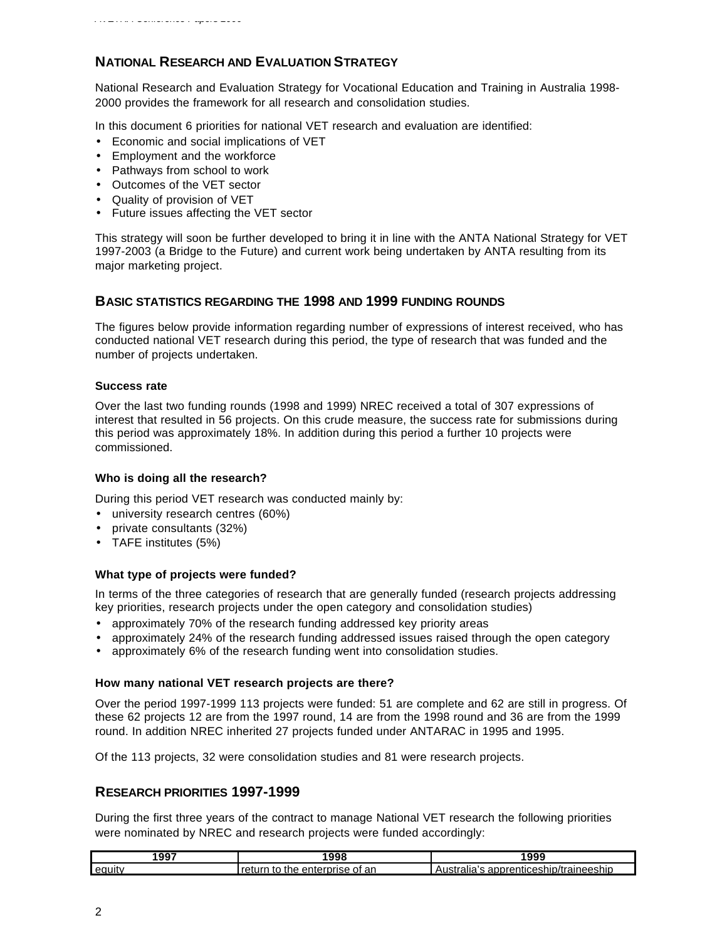# **NATIONAL RESEARCH AND EVALUATION STRATEGY**

National Research and Evaluation Strategy for Vocational Education and Training in Australia 1998- 2000 provides the framework for all research and consolidation studies.

In this document 6 priorities for national VET research and evaluation are identified:

- Economic and social implications of VET
- Employment and the workforce
- Pathways from school to work
- Outcomes of the VET sector
- Quality of provision of VET
- Future issues affecting the VET sector

This strategy will soon be further developed to bring it in line with the ANTA National Strategy for VET 1997-2003 (a Bridge to the Future) and current work being undertaken by ANTA resulting from its major marketing project.

# **BASIC STATISTICS REGARDING THE 1998 AND 1999 FUNDING ROUNDS**

The figures below provide information regarding number of expressions of interest received, who has conducted national VET research during this period, the type of research that was funded and the number of projects undertaken.

## **Success rate**

Over the last two funding rounds (1998 and 1999) NREC received a total of 307 expressions of interest that resulted in 56 projects. On this crude measure, the success rate for submissions during this period was approximately 18%. In addition during this period a further 10 projects were commissioned.

## **Who is doing all the research?**

During this period VET research was conducted mainly by:

- university research centres (60%)
- private consultants (32%)
- TAFE institutes (5%)

## **What type of projects were funded?**

In terms of the three categories of research that are generally funded (research projects addressing key priorities, research projects under the open category and consolidation studies)

- approximately 70% of the research funding addressed key priority areas
- approximately 24% of the research funding addressed issues raised through the open category
- approximately 6% of the research funding went into consolidation studies.

## **How many national VET research projects are there?**

Over the period 1997-1999 113 projects were funded: 51 are complete and 62 are still in progress. Of these 62 projects 12 are from the 1997 round, 14 are from the 1998 round and 36 are from the 1999 round. In addition NREC inherited 27 projects funded under ANTARAC in 1995 and 1995.

Of the 113 projects, 32 were consolidation studies and 81 were research projects.

# **RESEARCH PRIORITIES 1997-1999**

During the first three years of the contract to manage National VET research the following priorities were nominated by NREC and research projects were funded accordingly:

| 1997   | <br>$\overline{\phantom{a}}$    | . ^^^                                                          |
|--------|---------------------------------|----------------------------------------------------------------|
| equit. | ar<br>Ωt<br>"ISA<br>ΤF<br>enten | -------<br>.<br>neesnir<br>annrer<br>ΉΙ<br>I )/ I<br>ани<br>-- |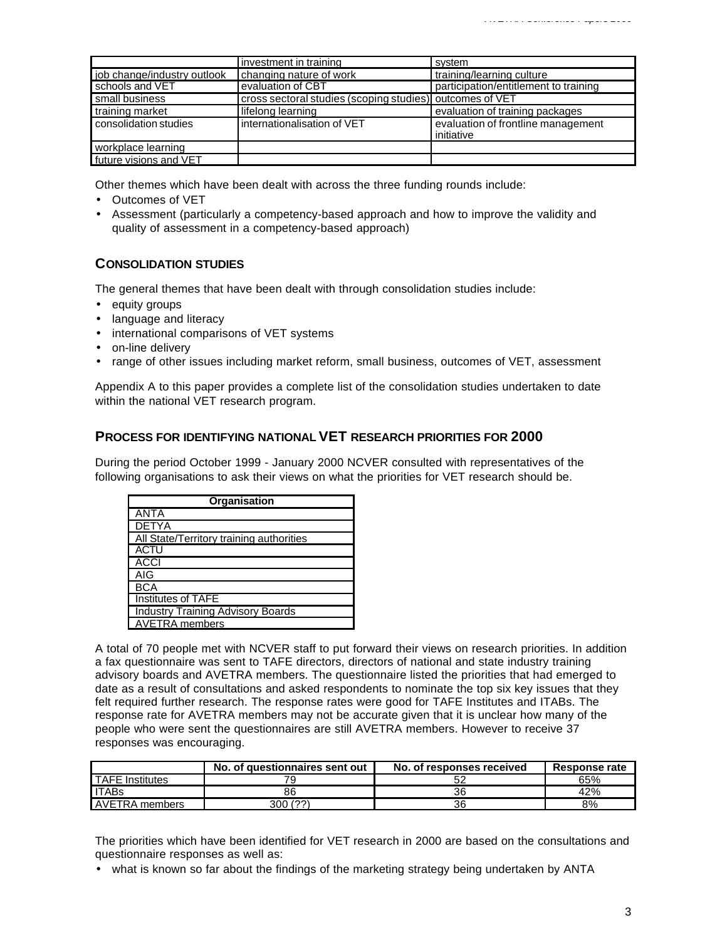|                             | investment in training                                   | system                                           |
|-----------------------------|----------------------------------------------------------|--------------------------------------------------|
| job change/industry outlook | changing nature of work                                  | training/learning culture                        |
| schools and VET             | evaluation of CBT                                        | participation/entitlement to training            |
| small business              | cross sectoral studies (scoping studies) outcomes of VET |                                                  |
| training market             | lifelong learning                                        | evaluation of training packages                  |
| consolidation studies       | internationalisation of VET                              | evaluation of frontline management<br>initiative |
| workplace learning          |                                                          |                                                  |
| future visions and VET      |                                                          |                                                  |

Other themes which have been dealt with across the three funding rounds include:

- Outcomes of VET
- Assessment (particularly a competency-based approach and how to improve the validity and quality of assessment in a competency-based approach)

# **CONSOLIDATION STUDIES**

The general themes that have been dealt with through consolidation studies include:

- equity groups
- language and literacy
- international comparisons of VET systems
- on-line delivery
- range of other issues including market reform, small business, outcomes of VET, assessment

Appendix A to this paper provides a complete list of the consolidation studies undertaken to date within the national VET research program.

### **PROCESS FOR IDENTIFYING NATIONAL VET RESEARCH PRIORITIES FOR 2000**

During the period October 1999 - January 2000 NCVER consulted with representatives of the following organisations to ask their views on what the priorities for VET research should be.

| Organisation                             |  |  |
|------------------------------------------|--|--|
| ANTA                                     |  |  |
| <b>DETYA</b>                             |  |  |
| All State/Territory training authorities |  |  |
| <b>ACTU</b>                              |  |  |
| <b>ACCI</b>                              |  |  |
| AIG                                      |  |  |
| <b>BCA</b>                               |  |  |
| Institutes of TAFE                       |  |  |
| <b>Industry Training Advisory Boards</b> |  |  |
| AVETRA members                           |  |  |

A total of 70 people met with NCVER staff to put forward their views on research priorities. In addition a fax questionnaire was sent to TAFE directors, directors of national and state industry training advisory boards and AVETRA members. The questionnaire listed the priorities that had emerged to date as a result of consultations and asked respondents to nominate the top six key issues that they felt required further research. The response rates were good for TAFE Institutes and ITABs. The response rate for AVETRA members may not be accurate given that it is unclear how many of the people who were sent the questionnaires are still AVETRA members. However to receive 37 responses was encouraging.

|                  | No. of questionnaires sent out | No. of responses received | Response rate |
|------------------|--------------------------------|---------------------------|---------------|
| TAFE Institutes  |                                |                           | 65%           |
| l ITABs          | 86                             | 36                        | 42%           |
| l AVETRA members | 300 (??)                       | 36                        | 8%            |

The priorities which have been identified for VET research in 2000 are based on the consultations and questionnaire responses as well as:

• what is known so far about the findings of the marketing strategy being undertaken by ANTA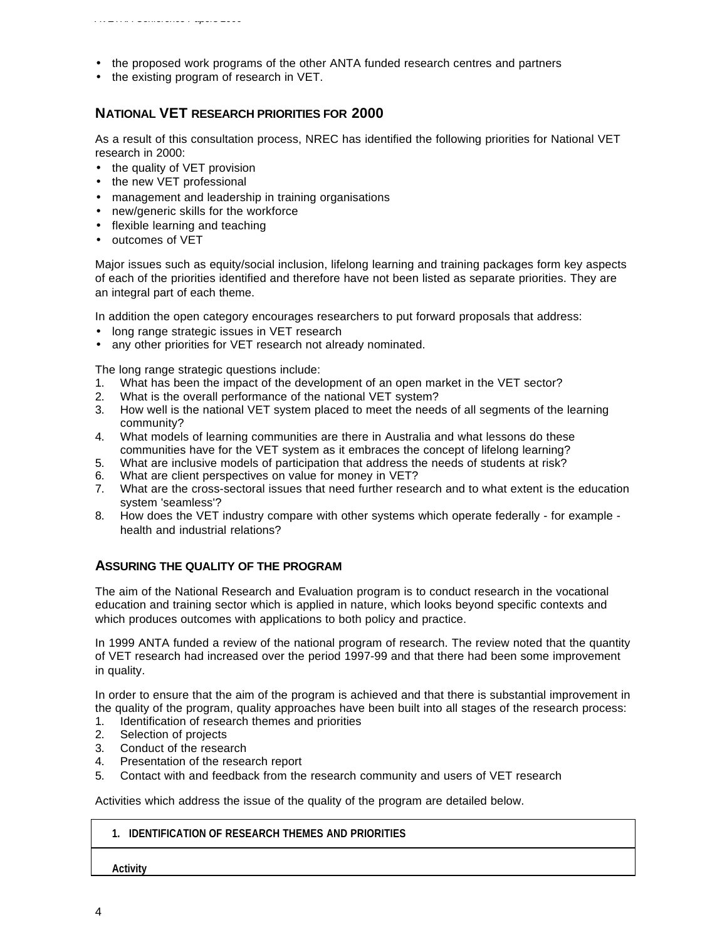• the existing program of research in VET.

# **NATIONAL VET RESEARCH PRIORITIES FOR 2000**

As a result of this consultation process, NREC has identified the following priorities for National VET research in 2000:

- the quality of VET provision
- the new VET professional

*AVETRA Conference Papers 2000*

- management and leadership in training organisations
- new/generic skills for the workforce
- flexible learning and teaching
- outcomes of VET

Major issues such as equity/social inclusion, lifelong learning and training packages form key aspects of each of the priorities identified and therefore have not been listed as separate priorities. They are an integral part of each theme.

In addition the open category encourages researchers to put forward proposals that address:

- long range strategic issues in VET research
- any other priorities for VET research not already nominated.

The long range strategic questions include:

- 1. What has been the impact of the development of an open market in the VET sector?
- 2. What is the overall performance of the national VET system?
- 3. How well is the national VET system placed to meet the needs of all segments of the learning community?
- 4. What models of learning communities are there in Australia and what lessons do these communities have for the VET system as it embraces the concept of lifelong learning?
- 5. What are inclusive models of participation that address the needs of students at risk?
- What are client perspectives on value for money in VET?
- 7. What are the cross-sectoral issues that need further research and to what extent is the education system 'seamless'?
- 8. How does the VET industry compare with other systems which operate federally for example health and industrial relations?

# **ASSURING THE QUALITY OF THE PROGRAM**

The aim of the National Research and Evaluation program is to conduct research in the vocational education and training sector which is applied in nature, which looks beyond specific contexts and which produces outcomes with applications to both policy and practice.

In 1999 ANTA funded a review of the national program of research. The review noted that the quantity of VET research had increased over the period 1997-99 and that there had been some improvement in quality.

In order to ensure that the aim of the program is achieved and that there is substantial improvement in the quality of the program, quality approaches have been built into all stages of the research process:

- 1. Identification of research themes and priorities
- 2. Selection of projects
- 3. Conduct of the research
- 4. Presentation of the research report
- 5. Contact with and feedback from the research community and users of VET research

Activities which address the issue of the quality of the program are detailed below.

## **1. IDENTIFICATION OF RESEARCH THEMES AND PRIORITIES**

**Activity**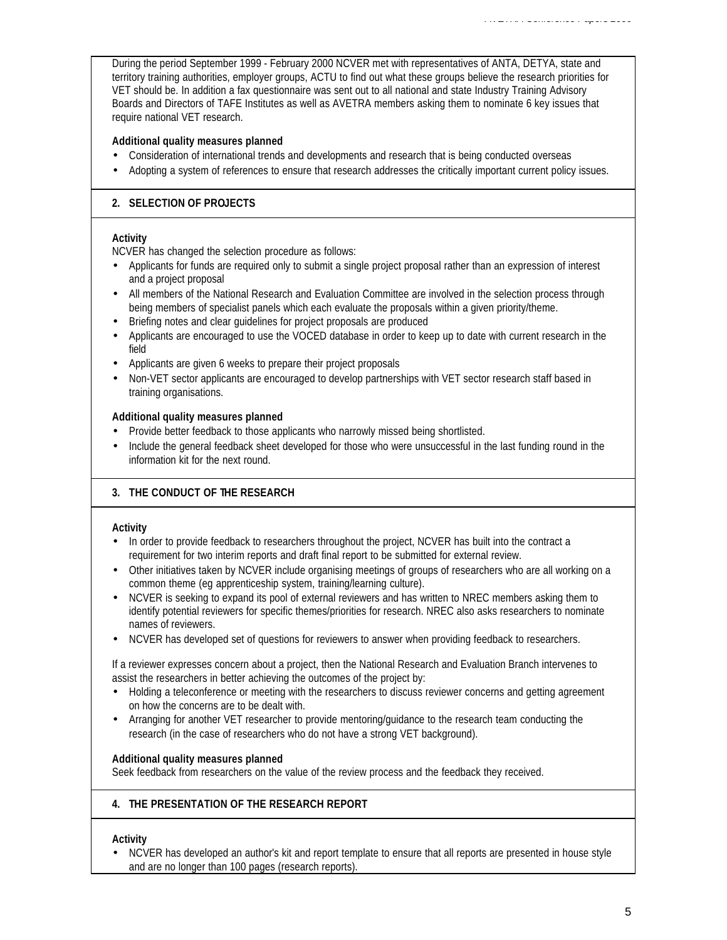During the period September 1999 - February 2000 NCVER met with representatives of ANTA, DETYA, state and territory training authorities, employer groups, ACTU to find out what these groups believe the research priorities for VET should be. In addition a fax questionnaire was sent out to all national and state Industry Training Advisory Boards and Directors of TAFE Institutes as well as AVETRA members asking them to nominate 6 key issues that require national VET research.

*AVETRA Conference Papers 2000*

# **Additional quality measures planned**

- Consideration of international trends and developments and research that is being conducted overseas
- Adopting a system of references to ensure that research addresses the critically important current policy issues.

# **2. SELECTION OF PROJECTS**

## **Activity**

NCVER has changed the selection procedure as follows:

- Applicants for funds are required only to submit a single project proposal rather than an expression of interest and a project proposal
- All members of the National Research and Evaluation Committee are involved in the selection process through being members of specialist panels which each evaluate the proposals within a given priority/theme.
- Briefing notes and clear guidelines for project proposals are produced
- Applicants are encouraged to use the VOCED database in order to keep up to date with current research in the field
- Applicants are given 6 weeks to prepare their project proposals
- Non-VET sector applicants are encouraged to develop partnerships with VET sector research staff based in training organisations.

## **Additional quality measures planned**

- Provide better feedback to those applicants who narrowly missed being shortlisted.
- Include the general feedback sheet developed for those who were unsuccessful in the last funding round in the information kit for the next round.

# **3. THE CONDUCT OF THE RESEARCH**

# **Activity**

- In order to provide feedback to researchers throughout the project, NCVER has built into the contract a requirement for two interim reports and draft final report to be submitted for external review.
- Other initiatives taken by NCVER include organising meetings of groups of researchers who are all working on a common theme (eg apprenticeship system, training/learning culture).
- NCVER is seeking to expand its pool of external reviewers and has written to NREC members asking them to identify potential reviewers for specific themes/priorities for research. NREC also asks researchers to nominate names of reviewers.
- NCVER has developed set of questions for reviewers to answer when providing feedback to researchers.

If a reviewer expresses concern about a project, then the National Research and Evaluation Branch intervenes to assist the researchers in better achieving the outcomes of the project by:

- Holding a teleconference or meeting with the researchers to discuss reviewer concerns and getting agreement on how the concerns are to be dealt with.
- Arranging for another VET researcher to provide mentoring/guidance to the research team conducting the research (in the case of researchers who do not have a strong VET background).

## **Additional quality measures planned**

Seek feedback from researchers on the value of the review process and the feedback they received.

# **4. THE PRESENTATION OF THE RESEARCH REPORT**

# **Activity**

• NCVER has developed an author's kit and report template to ensure that all reports are presented in house style and are no longer than 100 pages (research reports).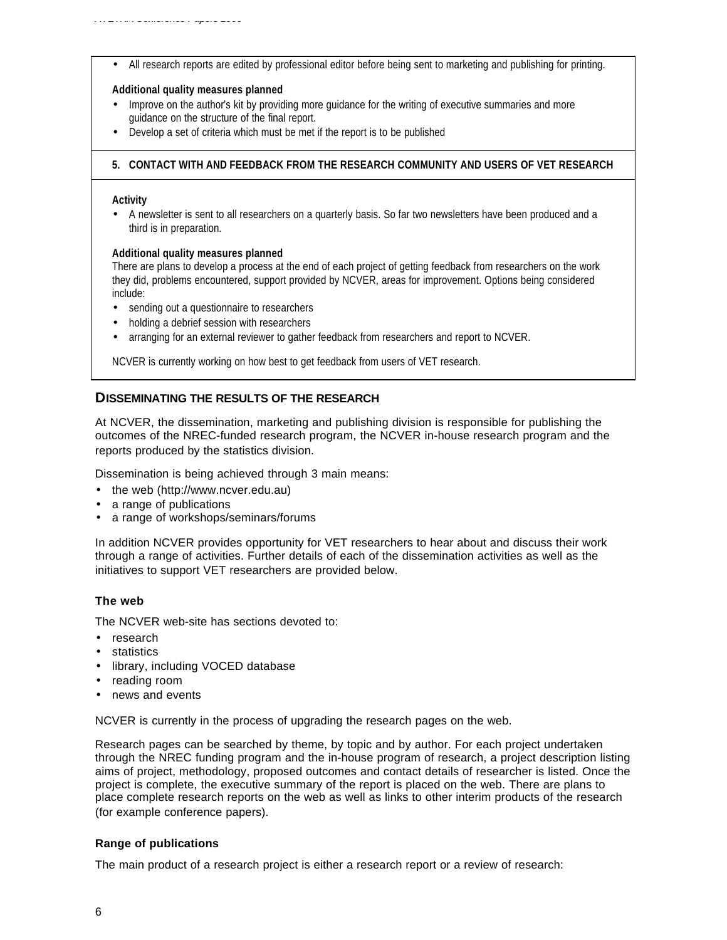• All research reports are edited by professional editor before being sent to marketing and publishing for printing.

#### **Additional quality measures planned**

- Improve on the author's kit by providing more guidance for the writing of executive summaries and more guidance on the structure of the final report.
- Develop a set of criteria which must be met if the report is to be published

#### **5. CONTACT WITH AND FEEDBACK FROM THE RESEARCH COMMUNITY AND USERS OF VET RESEARCH**

#### **Activity**

• A newsletter is sent to all researchers on a quarterly basis. So far two newsletters have been produced and a third is in preparation.

#### **Additional quality measures planned**

There are plans to develop a process at the end of each project of getting feedback from researchers on the work they did, problems encountered, support provided by NCVER, areas for improvement. Options being considered include:

- sending out a questionnaire to researchers
- holding a debrief session with researchers
- arranging for an external reviewer to gather feedback from researchers and report to NCVER.

NCVER is currently working on how best to get feedback from users of VET research.

## **DISSEMINATING THE RESULTS OF THE RESEARCH**

At NCVER, the dissemination, marketing and publishing division is responsible for publishing the outcomes of the NREC-funded research program, the NCVER in-house research program and the reports produced by the statistics division.

Dissemination is being achieved through 3 main means:

- the web (http://www.ncver.edu.au)
- a range of publications
- a range of workshops/seminars/forums

In addition NCVER provides opportunity for VET researchers to hear about and discuss their work through a range of activities. Further details of each of the dissemination activities as well as the initiatives to support VET researchers are provided below.

## **The web**

The NCVER web-site has sections devoted to:

- research
- statistics
- library, including VOCED database
- reading room
- news and events

NCVER is currently in the process of upgrading the research pages on the web.

Research pages can be searched by theme, by topic and by author. For each project undertaken through the NREC funding program and the in-house program of research, a project description listing aims of project, methodology, proposed outcomes and contact details of researcher is listed. Once the project is complete, the executive summary of the report is placed on the web. There are plans to place complete research reports on the web as well as links to other interim products of the research (for example conference papers).

## **Range of publications**

The main product of a research project is either a research report or a review of research: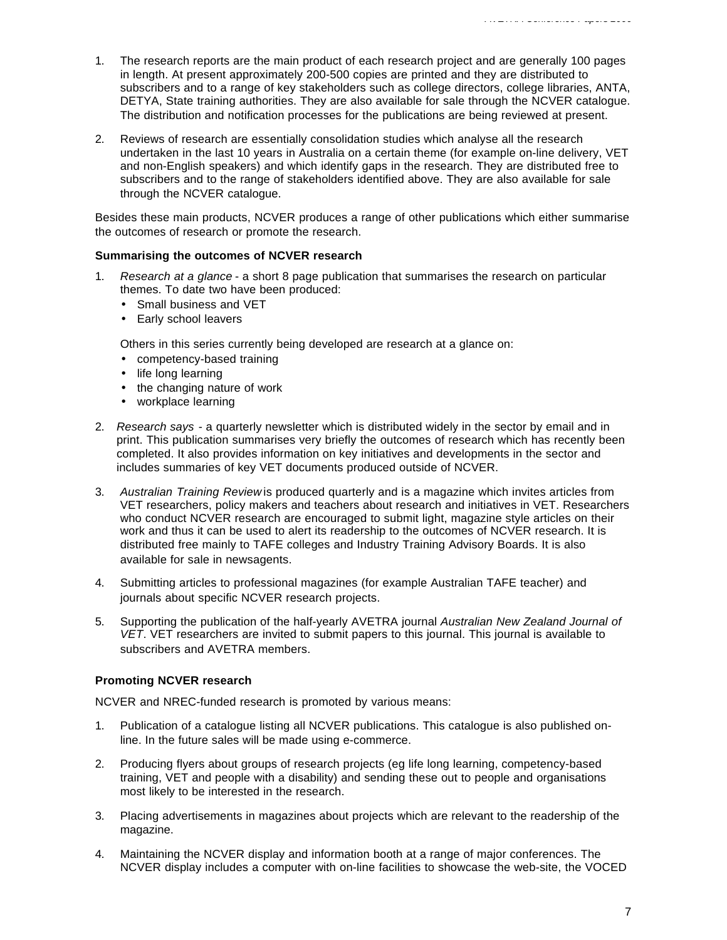- 1. The research reports are the main product of each research project and are generally 100 pages in length. At present approximately 200-500 copies are printed and they are distributed to subscribers and to a range of key stakeholders such as college directors, college libraries, ANTA, DETYA, State training authorities. They are also available for sale through the NCVER catalogue. The distribution and notification processes for the publications are being reviewed at present.
- 2. Reviews of research are essentially consolidation studies which analyse all the research undertaken in the last 10 years in Australia on a certain theme (for example on-line delivery, VET and non-English speakers) and which identify gaps in the research. They are distributed free to subscribers and to the range of stakeholders identified above. They are also available for sale through the NCVER catalogue.

Besides these main products, NCVER produces a range of other publications which either summarise the outcomes of research or promote the research.

#### **Summarising the outcomes of NCVER research**

- 1. *Research at a glance* a short 8 page publication that summarises the research on particular themes. To date two have been produced:
	- Small business and VET
	- Early school leavers

Others in this series currently being developed are research at a glance on:

- competency-based training
- life long learning
- the changing nature of work
- workplace learning
- 2. *Research says* a quarterly newsletter which is distributed widely in the sector by email and in print. This publication summarises very briefly the outcomes of research which has recently been completed. It also provides information on key initiatives and developments in the sector and includes summaries of key VET documents produced outside of NCVER.
- 3. *Australian Training Review* is produced quarterly and is a magazine which invites articles from VET researchers, policy makers and teachers about research and initiatives in VET. Researchers who conduct NCVER research are encouraged to submit light, magazine style articles on their work and thus it can be used to alert its readership to the outcomes of NCVER research. It is distributed free mainly to TAFE colleges and Industry Training Advisory Boards. It is also available for sale in newsagents.
- 4. Submitting articles to professional magazines (for example Australian TAFE teacher) and journals about specific NCVER research projects.
- 5. Supporting the publication of the half-yearly AVETRA journal *Australian New Zealand Journal of VET*. VET researchers are invited to submit papers to this journal. This journal is available to subscribers and AVETRA members.

## **Promoting NCVER research**

NCVER and NREC-funded research is promoted by various means:

- 1. Publication of a catalogue listing all NCVER publications. This catalogue is also published online. In the future sales will be made using e-commerce.
- 2. Producing flyers about groups of research projects (eg life long learning, competency-based training, VET and people with a disability) and sending these out to people and organisations most likely to be interested in the research.
- 3. Placing advertisements in magazines about projects which are relevant to the readership of the magazine.
- 4. Maintaining the NCVER display and information booth at a range of major conferences. The NCVER display includes a computer with on-line facilities to showcase the web-site, the VOCED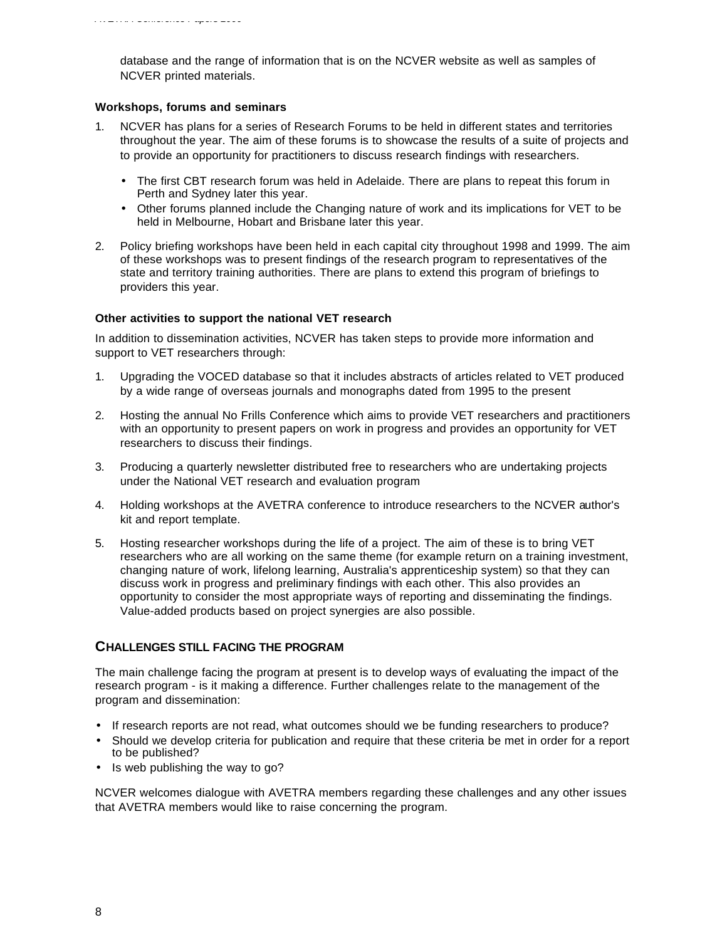*AVETRA Conference Papers 2000*

database and the range of information that is on the NCVER website as well as samples of NCVER printed materials.

## **Workshops, forums and seminars**

- 1. NCVER has plans for a series of Research Forums to be held in different states and territories throughout the year. The aim of these forums is to showcase the results of a suite of projects and to provide an opportunity for practitioners to discuss research findings with researchers.
	- The first CBT research forum was held in Adelaide. There are plans to repeat this forum in Perth and Sydney later this year.
	- Other forums planned include the Changing nature of work and its implications for VET to be held in Melbourne, Hobart and Brisbane later this year.
- 2. Policy briefing workshops have been held in each capital city throughout 1998 and 1999. The aim of these workshops was to present findings of the research program to representatives of the state and territory training authorities. There are plans to extend this program of briefings to providers this year.

#### **Other activities to support the national VET research**

In addition to dissemination activities, NCVER has taken steps to provide more information and support to VET researchers through:

- 1. Upgrading the VOCED database so that it includes abstracts of articles related to VET produced by a wide range of overseas journals and monographs dated from 1995 to the present
- 2. Hosting the annual No Frills Conference which aims to provide VET researchers and practitioners with an opportunity to present papers on work in progress and provides an opportunity for VET researchers to discuss their findings.
- 3. Producing a quarterly newsletter distributed free to researchers who are undertaking projects under the National VET research and evaluation program
- 4. Holding workshops at the AVETRA conference to introduce researchers to the NCVER author's kit and report template.
- 5. Hosting researcher workshops during the life of a project. The aim of these is to bring VET researchers who are all working on the same theme (for example return on a training investment, changing nature of work, lifelong learning, Australia's apprenticeship system) so that they can discuss work in progress and preliminary findings with each other. This also provides an opportunity to consider the most appropriate ways of reporting and disseminating the findings. Value-added products based on project synergies are also possible.

# **CHALLENGES STILL FACING THE PROGRAM**

The main challenge facing the program at present is to develop ways of evaluating the impact of the research program - is it making a difference. Further challenges relate to the management of the program and dissemination:

- If research reports are not read, what outcomes should we be funding researchers to produce?
- Should we develop criteria for publication and require that these criteria be met in order for a report to be published?
- Is web publishing the way to go?

NCVER welcomes dialogue with AVETRA members regarding these challenges and any other issues that AVETRA members would like to raise concerning the program.